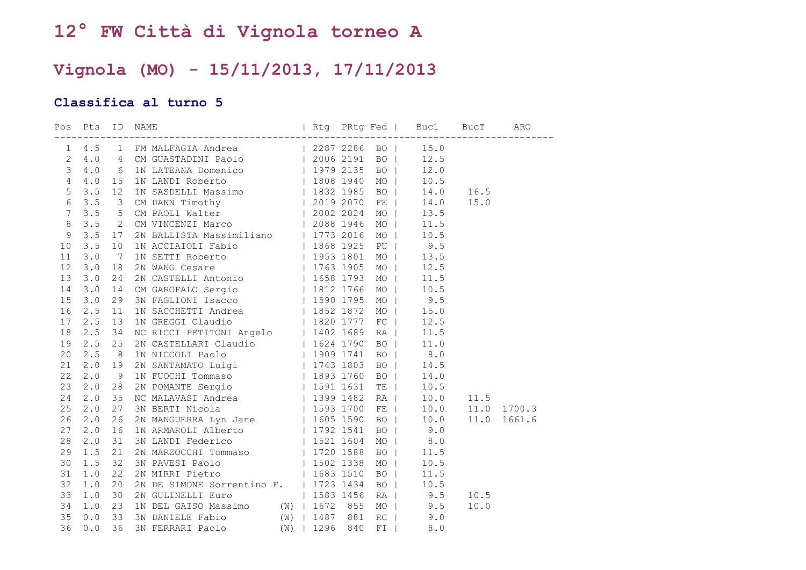## **12° FW Città di Vignola torneo A**

## **Vignola (MO) - 15/11/2013, 17/11/2013**

## **Classifica al turno 5**

| $\mathbf{1}$   |     |                | 4.5 1 FM MALFAGIA Andrea (2287 2286 BO   15.0<br>4.0 6 IN LATEANA Domenico (1979 2135 BO   12.5<br>4.0 6 IN LATEANA Domenico (1979 2135 BO   12.5<br>4.0 15 IN LANDI Roberto (1979 2135 BO   12.0<br>4.0 15 IN LANDI Roberto (1980 194     |  |           |           |      |        |
|----------------|-----|----------------|--------------------------------------------------------------------------------------------------------------------------------------------------------------------------------------------------------------------------------------------|--|-----------|-----------|------|--------|
| $\overline{2}$ |     |                |                                                                                                                                                                                                                                            |  |           |           |      |        |
| $\mathfrak{Z}$ |     |                |                                                                                                                                                                                                                                            |  |           |           |      |        |
| $\sqrt{4}$     |     |                |                                                                                                                                                                                                                                            |  |           |           |      |        |
| $\mathsf S$    |     |                |                                                                                                                                                                                                                                            |  |           |           | 16.5 |        |
| $6\,$          |     |                |                                                                                                                                                                                                                                            |  |           |           | 15.0 |        |
| $\overline{7}$ |     |                |                                                                                                                                                                                                                                            |  |           |           |      |        |
| $\delta$       |     |                |                                                                                                                                                                                                                                            |  |           |           |      |        |
| $\overline{9}$ |     |                |                                                                                                                                                                                                                                            |  |           |           |      |        |
| 10             |     |                |                                                                                                                                                                                                                                            |  |           |           |      |        |
| 11             |     |                |                                                                                                                                                                                                                                            |  |           |           |      |        |
| 12             |     |                |                                                                                                                                                                                                                                            |  |           |           |      |        |
| 13             |     |                |                                                                                                                                                                                                                                            |  |           |           |      |        |
| 14             |     |                |                                                                                                                                                                                                                                            |  |           |           |      |        |
| 15             |     |                |                                                                                                                                                                                                                                            |  |           |           |      |        |
| 16             | 2.5 | 11             | 1N SACCHETTI Andrea 1952 1872                                                                                                                                                                                                              |  |           | MO   15.0 |      |        |
| 17             | 2.5 | 13             |                                                                                                                                                                                                                                            |  |           | FC   12.5 |      |        |
| 18             | 2.5 | 34             | 1N SACCHETTI Andrea   1852 1872  <br>1N GREGGI Claudio   1820 1777<br>NC RICCI PETITONI Angelo   1402 1689<br>2N CASTELLARI Claudio   1624 1790<br>1N NICCOLI Paolo   1909 1741<br>2N SANTAMATO Luigi   1743 1803<br>1N FUOCHI Tommaso   1 |  |           | RA   11.5 |      |        |
| 19             | 2.5 | 25             |                                                                                                                                                                                                                                            |  | $BO$      | 11.0      |      |        |
| 20             | 2.5 | 8 <sup>8</sup> |                                                                                                                                                                                                                                            |  |           | BO   8.0  |      |        |
| 21             | 2.0 | 19             |                                                                                                                                                                                                                                            |  | $BO$      | 14.5      |      |        |
| 22             | 2.0 | 9              |                                                                                                                                                                                                                                            |  | $BO$      | 14.0      |      |        |
| 23             | 2.0 | 28             |                                                                                                                                                                                                                                            |  |           | TE   10.5 |      |        |
| 24             | 2.0 | 35             |                                                                                                                                                                                                                                            |  |           | RA   10.0 | 11.5 |        |
| 25             | 2.0 | 27             |                                                                                                                                                                                                                                            |  |           | FE   10.0 | 11.0 | 1700.3 |
| 26             | 2.0 | 26             |                                                                                                                                                                                                                                            |  |           | BO   10.0 | 11.0 | 1661.6 |
| 27             | 2.0 | 16             |                                                                                                                                                                                                                                            |  | BO        | 9.0       |      |        |
| 28             | 2.0 | 31             |                                                                                                                                                                                                                                            |  |           | MO   8.0  |      |        |
| 29             | 1.5 | 21             |                                                                                                                                                                                                                                            |  | $BO$      | 11.5      |      |        |
| 30             | 1.5 | 32             |                                                                                                                                                                                                                                            |  | MO        | 10.5      |      |        |
| 31             | 1.0 | 22             |                                                                                                                                                                                                                                            |  | <b>BO</b> | 11.5      |      |        |
| 32             | 1.0 | 20             |                                                                                                                                                                                                                                            |  | $BO$      | 10.5      |      |        |
| 33             | 1.0 | 30             |                                                                                                                                                                                                                                            |  |           | RA   9.5  | 10.5 |        |
| 34             | 1.0 | 23             |                                                                                                                                                                                                                                            |  |           | MO   9.5  | 10.0 |        |
| 35             | 0.0 | 33             |                                                                                                                                                                                                                                            |  | $RC$      | 9.0       |      |        |
| 36             | 0.0 | 36             | 2N GULINELLI Euro   1583 1456<br>1N DEL GAISO Massimo (W)   1672 855<br>3N DANIELE Fabio (W)   1487 881<br>3N FERRARI Paolo (W)   1296 840                                                                                                 |  | $FI$      | 8.0       |      |        |